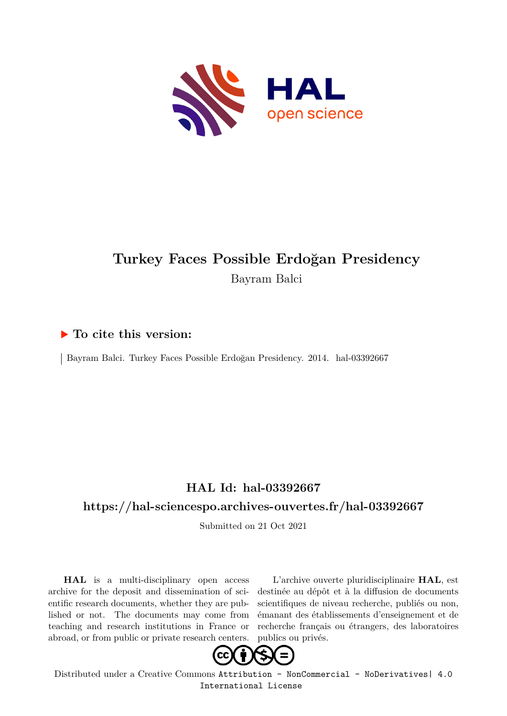

## **Turkey Faces Possible Erdoğan Presidency** Bayram Balci

### **To cite this version:**

Bayram Balci. Turkey Faces Possible Erdoğan Presidency. 2014. hal-03392667

### **HAL Id: hal-03392667**

#### **<https://hal-sciencespo.archives-ouvertes.fr/hal-03392667>**

Submitted on 21 Oct 2021

**HAL** is a multi-disciplinary open access archive for the deposit and dissemination of scientific research documents, whether they are published or not. The documents may come from teaching and research institutions in France or abroad, or from public or private research centers.

L'archive ouverte pluridisciplinaire **HAL**, est destinée au dépôt et à la diffusion de documents scientifiques de niveau recherche, publiés ou non, émanant des établissements d'enseignement et de recherche français ou étrangers, des laboratoires publics ou privés.



Distributed under a Creative Commons [Attribution - NonCommercial - NoDerivatives| 4.0](http://creativecommons.org/licenses/by-nc-nd/4.0/) [International License](http://creativecommons.org/licenses/by-nc-nd/4.0/)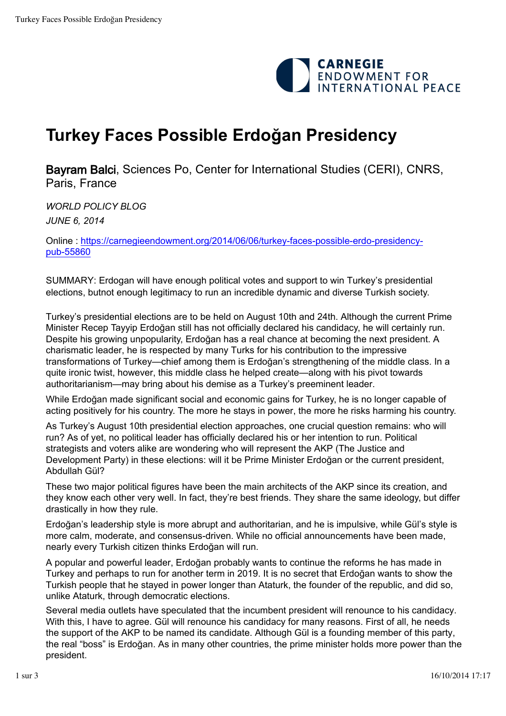

# **Turkey Faces Possible Erdoğan Presidency**

Bayram Balci, Sciences Po, Center for International Studies (CERI), CNRS, Paris, France

*WORLD POLICY BLOG JUNE 6, 2014* 

[Online : https://carnegieendowment.org/2014/06/06/turkey-faces-possible-erdo-presidency](https://carnegieendowment.org/2014/06/06/turkey-faces-possible-erdo-presidency-pub-55860)pub-[55860](https://carnegieendowment.org/2014/06/06/turkey-faces-possible-erdo-presidency-pub-55860)

SUMMARY: Erdogan will have enough political votes and support to win Turkey's presidential elections, butnot enough legitimacy to run an incredible dynamic and diverse Turkish society.

Turkey's presidential elections are to be held on August 10th and 24th. Although the current Prime Minister Recep Tayyip Erdoğan still has not officially declared his candidacy, he will certainly run. Despite his growing unpopularity, Erdoğan has a real chance at becoming the next president. A charismatic leader, he is respected by many Turks for his contribution to the impressive transformations of Turkey—chief among them is Erdoğan's strengthening of the middle class. In a quite ironic twist, however, this middle class he helped create—along with his pivot towards authoritarianism—may bring about his demise as a Turkey's preeminent leader.

While Erdoğan made significant social and economic gains for Turkey, he is no longer capable of acting positively for his country. The more he stays in power, the more he risks harming his country.

As Turkey's August 10th presidential election approaches, one crucial question remains: who will run? As of yet, no political leader has officially declared his or her intention to run. Political strategists and voters alike are wondering who will represent the AKP (The Justice and Development Party) in these elections: will it be Prime Minister Erdoğan or the current president, Abdullah Gül?

These two major political figures have been the main architects of the AKP since its creation, and they know each other very well. In fact, they're best friends. They share the same ideology, but differ drastically in how they rule.

Erdoğan's leadership style is more abrupt and authoritarian, and he is impulsive, while Gül's style is more calm, moderate, and consensus-driven. While no official announcements have been made, nearly every Turkish citizen thinks Erdoğan will run.

A popular and powerful leader, Erdoğan probably wants to continue the reforms he has made in Turkey and perhaps to run for another term in 2019. It is no secret that Erdoğan wants to show the Turkish people that he stayed in power longer than Ataturk, the founder of the republic, and did so, unlike Ataturk, through democratic elections.

Several media outlets have speculated that the incumbent president will renounce to his candidacy. With this, I have to agree. Gül will renounce his candidacy for many reasons. First of all, he needs the support of the AKP to be named its candidate. Although Gül is a founding member of this party, the real "boss" is Erdoğan. As in many other countries, the prime minister holds more power than the president.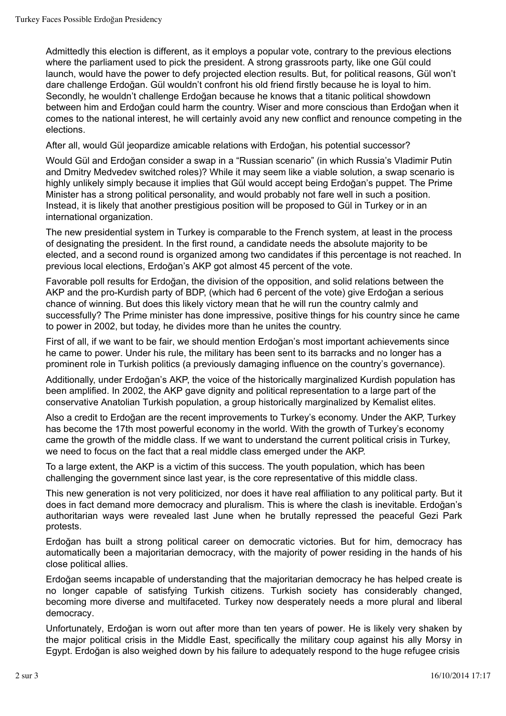Admittedly this election is different, as it employs a popular vote, contrary to the previous elections where the parliament used to pick the president. A strong grassroots party, like one Gül could launch, would have the power to defy projected election results. But, for political reasons, Gül won't dare challenge Erdoğan. Gül wouldn't confront his old friend firstly because he is loyal to him. Secondly, he wouldn't challenge Erdoğan because he knows that a titanic political showdown between him and Erdoğan could harm the country. Wiser and more conscious than Erdoğan when it comes to the national interest, he will certainly avoid any new conflict and renounce competing in the elections.

After all, would Gül jeopardize amicable relations with Erdoğan, his potential successor?

Would Gül and Erdoğan consider a swap in a "Russian scenario" (in which Russia's Vladimir Putin and Dmitry Medvedev switched roles)? While it may seem like a viable solution, a swap scenario is highly unlikely simply because it implies that Gül would accept being Erdoğan's puppet. The Prime Minister has a strong political personality, and would probably not fare well in such a position. Instead, it is likely that another prestigious position will be proposed to Gül in Turkey or in an international organization.

The new presidential system in Turkey is comparable to the French system, at least in the process of designating the president. In the first round, a candidate needs the absolute majority to be elected, and a second round is organized among two candidates if this percentage is not reached. In previous local elections, Erdoğan's AKP got almost 45 percent of the vote.

Favorable poll results for Erdoğan, the division of the opposition, and solid relations between the AKP and the pro-Kurdish party of BDP, (which had 6 percent of the vote) give Erdoğan a serious chance of winning. But does this likely victory mean that he will run the country calmly and successfully? The Prime minister has done impressive, positive things for his country since he came to power in 2002, but today, he divides more than he unites the country.

First of all, if we want to be fair, we should mention Erdoğan's most important achievements since he came to power. Under his rule, the military has been sent to its barracks and no longer has a prominent role in Turkish politics (a previously damaging influence on the country's governance).

Additionally, under Erdoğan's AKP, the voice of the historically marginalized Kurdish population has been amplified. In 2002, the AKP gave dignity and political representation to a large part of the conservative Anatolian Turkish population, a group historically marginalized by Kemalist elites.

Also a credit to Erdoğan are the recent improvements to Turkey's economy. Under the AKP, Turkey has become the 17th most powerful economy in the world. With the growth of Turkey's economy came the growth of the middle class. If we want to understand the current political crisis in Turkey, we need to focus on the fact that a real middle class emerged under the AKP.

To a large extent, the AKP is a victim of this success. The youth population, which has been challenging the government since last year, is the core representative of this middle class.

This new generation is not very politicized, nor does it have real affiliation to any political party. But it does in fact demand more democracy and pluralism. This is where the clash is inevitable. Erdoğan's authoritarian ways were revealed last June when he brutally repressed the peaceful Gezi Park protests.

Erdoğan has built a strong political career on democratic victories. But for him, democracy has automatically been a majoritarian democracy, with the majority of power residing in the hands of his close political allies.

Erdoğan seems incapable of understanding that the majoritarian democracy he has helped create is no longer capable of satisfying Turkish citizens. Turkish society has considerably changed, becoming more diverse and multifaceted. Turkey now desperately needs a more plural and liberal democracy.

Unfortunately, Erdoğan is worn out after more than ten years of power. He is likely very shaken by the major political crisis in the Middle East, specifically the military coup against his ally Morsy in Egypt. Erdoğan is also weighed down by his failure to adequately respond to the huge refugee crisis